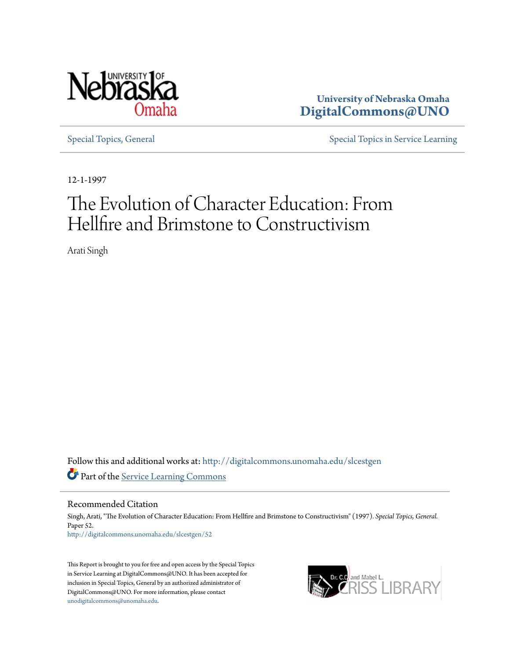

**University of Nebraska Omaha [DigitalCommons@UNO](http://digitalcommons.unomaha.edu?utm_source=digitalcommons.unomaha.edu%2Fslcestgen%2F52&utm_medium=PDF&utm_campaign=PDFCoverPages)**

[Special Topics, General](http://digitalcommons.unomaha.edu/slcestgen?utm_source=digitalcommons.unomaha.edu%2Fslcestgen%2F52&utm_medium=PDF&utm_campaign=PDFCoverPages) [Special Topics in Service Learning](http://digitalcommons.unomaha.edu/slcespecialtopics?utm_source=digitalcommons.unomaha.edu%2Fslcestgen%2F52&utm_medium=PDF&utm_campaign=PDFCoverPages)

12-1-1997

# The Evolution of Character Education: From Hellfire and Brimstone to Constructivism

Arati Singh

Follow this and additional works at: [http://digitalcommons.unomaha.edu/slcestgen](http://digitalcommons.unomaha.edu/slcestgen?utm_source=digitalcommons.unomaha.edu%2Fslcestgen%2F52&utm_medium=PDF&utm_campaign=PDFCoverPages) Part of the [Service Learning Commons](http://network.bepress.com/hgg/discipline/1024?utm_source=digitalcommons.unomaha.edu%2Fslcestgen%2F52&utm_medium=PDF&utm_campaign=PDFCoverPages)

Recommended Citation

Singh, Arati, "The Evolution of Character Education: From Hellfire and Brimstone to Constructivism" (1997). *Special Topics, General.* Paper 52. [http://digitalcommons.unomaha.edu/slcestgen/52](http://digitalcommons.unomaha.edu/slcestgen/52?utm_source=digitalcommons.unomaha.edu%2Fslcestgen%2F52&utm_medium=PDF&utm_campaign=PDFCoverPages)

This Report is brought to you for free and open access by the Special Topics in Service Learning at DigitalCommons@UNO. It has been accepted for inclusion in Special Topics, General by an authorized administrator of DigitalCommons@UNO. For more information, please contact [unodigitalcommons@unomaha.edu](mailto:unodigitalcommons@unomaha.edu).

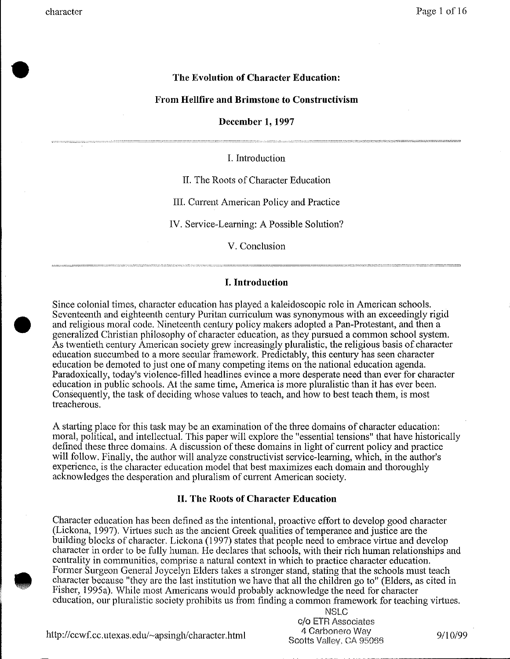•

**•** 

## **The Evolution of Character Education:**

#### **From Hellfire and Brimstone to Constructivism**

**December 1, 1997** 

I. Introduction

II. The Roots of Character Education

III. Current American Policy and Practice

IV. Service-Learning: A Possible Solution?

V. Conclusion

#### **I. Introduction**

Since colonial times, character education has played a kaleidoscopic role in American schools. Seventeenth and eighteenth century Puritan curriculum was synonymous with an exceedingly rigid and religious moral code. Nineteenth century policy makers adopted a Pan-Protestant, and then a generalized Christian philosophy of character education, as they pursued a common school system. As twentieth century American society grew increasingly pluralistic, the religious basis of character education succumbed to a more secular framework. Predictably, this century has seen character education be demoted to just one of many competing items on the national education agenda. Paradoxically, today's violence-filled headlines evince a more desperate need than ever for character education in public schools. At the same time, America is more pluralistic than it has ever been. Consequently, the task of deciding whose values to teach, and how to best teach them, is most treacherous.

A starting place for this task may be an examination of the three domains of character education: moral, political, and intellectual. This paper will explore the "essential tensions" that have historically defined these three domains. A discussion of these domains in light of current policy and practice will follow. Finally, the author will analyze constructivist service-learning, which, in the author's experience, is the character education model that best maximizes each domain and thoroughly acknowledges the desperation and pluralism of current American society.

#### **II. The Roots of Character Education**

Character education has been defined as the intentional, proactive effort to develop good character (Lickona, 1997). Virtues such as the ancient Greek qualities of temperance and justice are the building blocks of character. Lickona (1997) states that people need to embrace virtue and develop character in order to be fully human. He declares that schools, with their rich human relationships and centrality in communities, comprise a natural context in which to practice character education. Former Surgeon General Joycelyn Elders takes a stronger stand, stating that the schools must teach character because "they are the last institution we have that all the children go to" (Elders, as cited in Fisher, 1995a). While most Americans would probably acknowledge the need for character education, our pluralistic society prohibits us from finding a common framework for teaching virtues.

> NSLC c/o ETR Associates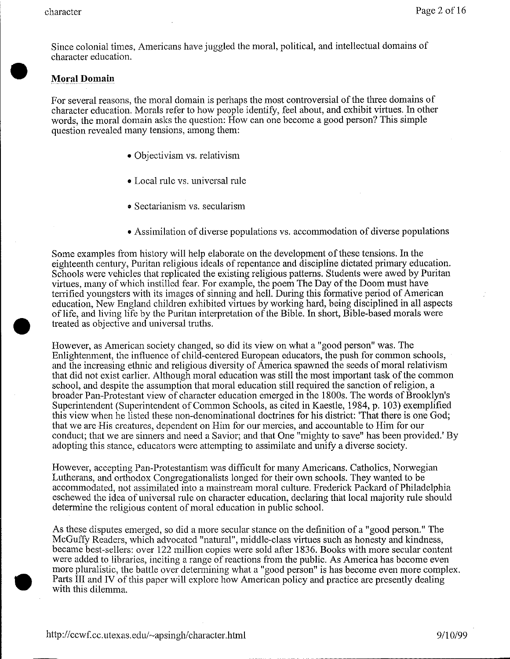•

•

Since colonial times, Americans have juggled the moral, political, and intellectual domains of character education.

# **Moral Domain**

For several reasons, the moral domain is perhaps the most controversial of the three domains of character education. Morals refer to how people identify, feel about, and exhibit virtues. In other words, the moral domain asks the question: How can one become a good person? This simple question revealed many tensions, among them:

- Objectivism vs. relativism
- Local rule vs. universal rule
- Sectarianism vs. secularism
- Assimilation of diverse populations vs. accommodation of diverse populations

Some examples from history will help elaborate on the development of these tensions. In the eighteenth century, Puritan religious ideals of repentance and discipline dictated primary education. Schools were vehicles that replicated the existing religious patterns. Students were awed by Puritan virtues, many of which instilled fear. For example, the poem The Day of the Doom must have terrified youngsters with its images of sinning and hell. During this formative period of American education, New England children exhibited virtues by working hard, being disciplined in all aspects of life, and living life by the Puritan interpretation of the Bible. In short, Bible-based morals were treated as objective and universal truths.

However, as American society changed, so did its view on what a "good person" was. The Enlightenment, the influence of child-centered European educators, the push for common schools, and the increasing ethnic and religious diversity of America spawned the seeds of moral relativism that did not exist earlier. Although moral education was still the most important task ofthe common school, and despite the assumption that moral education still required the sanction of religion, a broader Pan-Protestant view of character education emerged in the 1800s. The words of Brooklyn's Superintendent (Superintendent of Common Schools, as cited in Kaestle, 1984, p. 103) exemplified this view when he listed these non-denominational doctrines for his district: 'That there is one God; that we are His creatures, dependent on Him for our mercies, and accountable to Him for our conduct; that we are sinners and need a Savior; and that One "mighty to save" has been provided.' By adopting this stance, educators were attempting to assimilate and unify a diverse society.

However, accepting Pan-Protestantism was difficult for many Americans. Catholics, Norwegian Lutherans, and orthodox Congregationalists longed for their own schools. They wanted to be accommodated, not assimilated into a mainstream moral culture. Frederick Packard of Philadelphia eschewed the idea of universal rule on character education, declaring that local majority rule should determine the religious content of moral education in public school.

As these disputes emerged, so did a more secular stance on the definition of a "good person." The McGuffy Readers, which advocated "natural", middle-class virtues such as honesty and kindness, became best-sellers: over 122 million copies were sold after 1836. Books with more secular content were added to libraries, inciting a range of reactions from the public. As America has become even more pluralistic, the battle over determining what a "good person" is has become even more complex . Parts III and IV of this paper will explore how American policy and practice are presently dealing with this dilemma.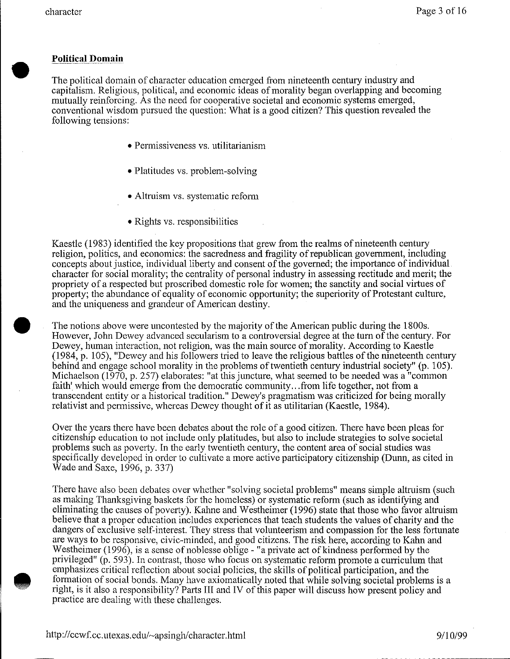•

**•** 

## **Political Domain**

The political domain of character education emerged from nineteenth century industry and capitalism. Religious, political, and economic ideas of morality began overlapping and becoming mutually reinforcing. As the need for cooperative societal and economic systems emerged, conventional wisdom pursued the question: What is a good citizen? This question revealed the following tensions:

- Permissiveness vs. utilitarianism
- Platitudes vs. problem-solving
- Altruism vs. systematic reform
- Rights vs. responsibilities

Kaestle (1983) identified the key propositions that grew from the realms of nineteenth century religion, politics, and economics: the sacredness and fragility of republican government, including concepts about justice, individual liberty and consent of the governed; the importance of individual character for social morality; the centrality of personal industry in assessing rectitude and merit; the propriety of a respected but proscribed domestic role for women; the sanctity and social virtues of property; the abundance of equality of economic opportunity; the superiority of Protestant culture, and the uniqueness and grandeur of American destiny .

The notions above were uncontested by the majority of the American public during the 1800s. However, John Dewey advanced secularism to a controversial degree at the turn of the century. For Dewey, human interaction, not religion, was the main source of morality. According to Kaestle (1984, p. 105), "Dewey and his followers tried to leave the religious battles of the nineteenth century behind and engage school morality in the problems of twentieth century industrial society" (p. 105). Michaelson (1970, p. 257) elaborates: "at this juncture, what seemed to be needed was a "common faith' which would emerge from the democratic community ... from life together, not from a transcendent entity or a historical tradition." Dewey's pragmatism was criticized for being morally relativist and pennissive, whereas Dewey thought of it as utilitarian (Kaestle, 1984).

Over the years there have been debates about the role of a good citizen. There have been pleas for citizenship education to not include only platitudes, but also to include strategies to solve societal problems such as poverty. In the early twentieth century, the content area of social studies was specifically developed in order to cultivate a more active participatory citizenship (Dunn, as cited in Wade and Saxe, 1996, p. 337)

There have also been debates over whether "solving societal problems" means simple altruism (such as making Thanksgiving baskets for the homeless) or systematic reform (such as identifying and eliminating the causes of poverty). Kahne and Westheimer (1996) state that those who favor altruism believe that a proper education includes experiences that teach students the values of charity and the dangers of exclusive self-interest. They stress that volunteerism and compassion for the less fortunate are ways to be responsive, civic-minded, and good citizens. The risk here, according to Kahn and Westheimer  $(1996)$ , is a sense of noblesse oblige - "a private act of kindness performed by the privileged" (p. 593). In contrast, those who focus on systematic reform promote a curriculum that emphasizes critical reflection about social policies, the skills of political participation, and the formation of social bonds. Many have axiomatically noted that while solving societal problems is a right, is it also a responsibility? Parts III and IV of this paper will discuss how present policy and practice are dealing with these challenges.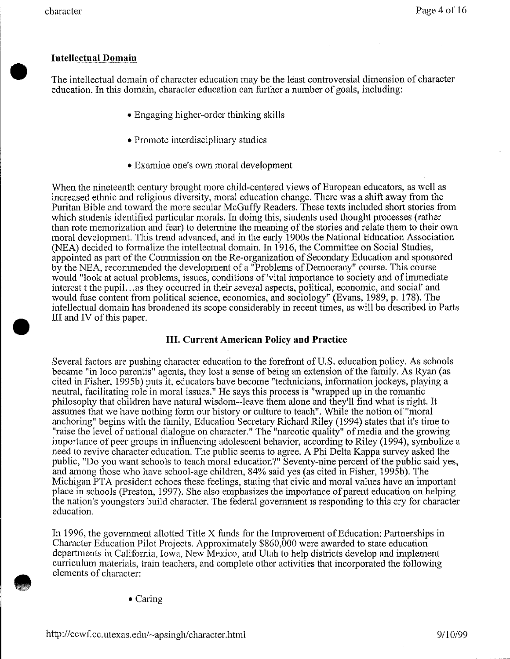•

**•** 

# **Intellectual Domain**

The intellectual domain of character education may be the least controversial dimension of character education. In this domain, character education can further a number of goals, including:

- Engaging higher-order thinking skills
- Promote interdisciplinary studies
- Examine one's own moral development

When the nineteenth century brought more child-centered views of European educators, as well as increased ethnic and religious diversity, moral education change. There was a shift away from the Puritan Bible and toward the more secular McGuffy Readers. These texts included short stories from which students identified particular morals. In doing this, students used thought processes (rather than rote memorization and fear) to determine the meaning of the stories and relate them to their own moral development. This trend advanced, and in the early 1900s the National Education Association (NEA) decided to formalize the intellectual domain. In 1916, the Committee on Social Studies, appointed as part of the Commission on the Re-organization of Secondary Education and sponsored by the NEA, recommended the development of a "Problems of Democracy" course. This course would "look at actual problems, issues, conditions of 'vital importance to society and of immediate interest t the pupil... as they occurred in their several aspects, political, economic, and social' and would fuse content from political science, economics, and sociology" (Evans, 1989, p. 178). The intellectual domain has broadened its scope considerably in recent times, as will be described in Parts III and IV of this paper.

# **III. Current American Policy and Practice**

Several factors are pushing character education to the forefront of U.S. education policy. As schools became "in loco parentis" agents, they lost a sense of being an extension of the family. As Ryan (as cited in Fisher, 1995b) puts it, educators have become "technicians, information jockeys, playing a neutral, facilitating role in moral issues." He says this process is "wrapped up in the romantic philosophy that children have natural wisdom--leave them alone and they'll find what is right. It assumes that we have nothing form our history or culture to teach". While the notion of "moral anchoring" begins with the family, Education Secretary Richard Riley (1994) states that it's time to "raise the level of national dialogue on character." The "narcotic quality" of media and the growing importance of peer groups in influencing adolescent behavior, according to Riley (1994), symbolize a need to revive character education. The public seems to agree. A Phi Delta Kappa survey asked the public, "Do you want schools to teach moral education?" Seventy-nine percent of the public said yes, and among those who have school-age children, 84% said yes (as cited in Fisher, 1995b). The Michigan PTA president echoes these feelings, stating that civic and moral values have an important place in schools (Preston, 1997). She also emphasizes the importance of parent education on helping the nation's youngsters build character. The federal government is responding to this cry for character education.

In 1996, the government allotted Title X funds for the Improvement of Education: Partnerships in Character Education Pilot Projects. Approximately \$860,000 were awarded to state education departments in California, Iowa, New Mexico, and Utah to help districts develop and implement curriculum materials, train teachers, and complete other activities that incorporated the following elements of character:

• Caring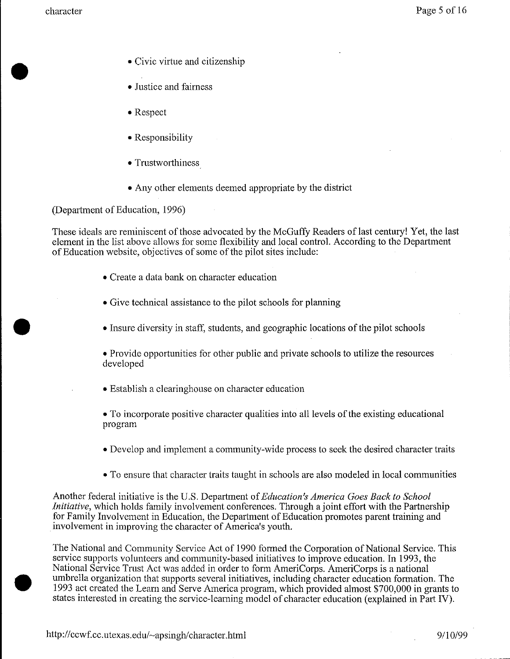•

•

- Civic virtue and citizenship
- Justice and fairness
- Respect
- Responsibility
- Trustworthiness
- Any other elements deemed appropriate by the district

(Department of Education, 1996)

These ideals are reminiscent of those advocated by the McGuffy Readers of last century! Yet, the last element in the list above allows for some flexibility and local control. According to the Department of Education website, objectives of some of the pilot sites include:

- Create a data bank on character education
- Give technical assistance to the pilot schools for planning
- Insure diversity in staff, students, and geographic locations of the pilot schools

• Provide opportunities for other public and private schools to utilize the resources developed

• Establish a clearinghouse on character education

• To incorporate positive character qualities into all levels of the existing educational program

- Develop and implement a community-wide process to seek the desired character traits
- To ensure that character traits taught in schools are also modeled in local communities

Another federal initiative is the U.S. Department of *Education's America Goes Back to School Initiative*, which holds family involvement conferences. Through a joint effort with the Partnership for Family Involvement in Education, the Department of Education promotes parent training and involvement in improving the character of America's youth.

The National and Community Service Act of 1990 formed the Corporation of National Service. This service supports volunteers and community-based initiatives to improve education. In 1993, the National Service Trust Act was added in order to form AmeriCorps. AmeriCorps is a national umbrella organization that supports several initiatives, including character education formation. The 1993 act created the Learn and Serve America program, which provided almost \$700,000 in grants to states interested in creating the service-leaming model of character education (explained in Part IV).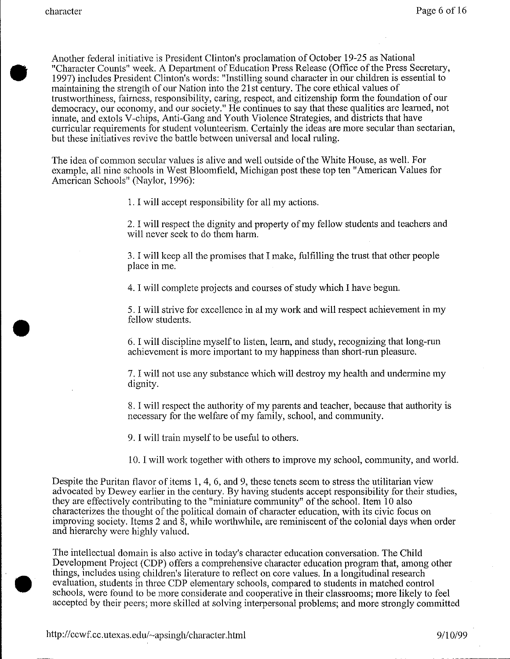•

Another federal initiative is President Clinton's proclamation of October 19-25 as National "Character Counts" week. A Department of Education Press Release (Office of the Press Secretary, 1997) includes President Clinton's words: "Instilling sound character in our children is essential to maintaining the strength of onr Nation into the 21st century. The core ethical values of trustworthiness, fairness, responsibility, caring, respect, and citizenship form the foundation of our democracy, our economy, and our society." He continues to say that these qualities are learned, not innate, and extols V-chips, Anti-Gang and Youth Violence Strategies, and districts that have curricular requirements for student volunteerism. Certainly the ideas are more secular than sectarian, but these initiatives revive the battle between universal and local ruling.

The idea of common secular values is alive and well outside of the White House, as well. For example, all nine schools in West Bloomfield, Michigan post these top ten "American Values for American Schools" (Naylor, 1996):

l. I will accept responsibility for all my actions.

2. I will respect the dignity and property of my fellow students and teachers and will never seek to do them harm.

3. I will keep all the promises that I make, fulfilling the trust that other people place in me.

4. I will complete projects and courses of study which I have begun.

5. I will strive for excellence in almy work and will respect achievement in my fellow students.

6. I will discipline myself to listen, learn, and study, recognizing that long-run achievement is more important to my happiness than short-run pleasure.

7. I will not use any substance which will destroy my health and undermine my dignity.

8. I will respect the authority of my parents and teacher, because that authority is necessary for the welfare of my family, school, and community.

9. I will train myself to be useful to others.

10. I will work together with others to improve my school, community, and world.

Despite the Puritan flavor of items 1, 4, 6, and 9, these tenets seem to stress the utilitarian view advocated by Dewey earlier in the century. By having students accept responsibility for their studies, they are effectively contributing to the "miniature community" of the school. Item 10 also characterizes the thought of the political domain of character education, with its civic focus on improving society. Items 2 and 8, while worthwhile, are reminiscent of the colonial days when order and hierarchy were highly valued.

• The intellectual domain is also active in today's character education conversation. The Child Development Project (CDP) offers a comprehensive character education program that, among other things, includes using children's literature to reflect on core values. In a longitudinal research evaluation, students in three CDP elementaty schools, compared to students in matched control schools, were found to be more considerate and cooperative in their classrooms; more likely to feel accepted by their peers; more skilled at solving interpersonal problems; and more strongly committed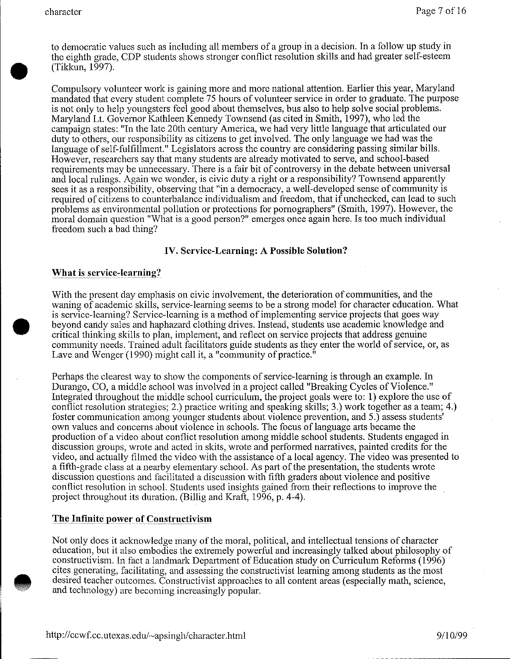to democratic values such as including all members of a group in a decision. In a follow up study in the eighth grade, CDP students shows stronger conflict resolution skills and had greater self-esteem • (Tikkun, 1997).

Compulsory volunteer work is gaining more and more national attention. Earlier this year, Maryland mandated that every student complete 75 hours of volunteer service in order to graduate. The purpose is not only to help youngsters feel good about themselves, bus also to help solve social problems. Maryland Lt. Governor Kathleen Kennedy Townsend (as cited in Smith, 1997), who led the campaign states: "In the late 20th century America, we had very little language that articulated our duty to others, our responsibility as citizens to get involved. The only language we had was the language of self-fulfillment." Legislators across the country are considering passing similar bills. However, researchers say that many students are already motivated to serve, and school-based requirements may be unnecessary. There is a fair bit of controversy in the debate between universal and local rulings. Again we wonder, is civic duty a right or a responsibility? Townsend apparently sees it as a responsibility, observing that "in a democracy, a well-developed sense of community is required of citizens to counterbalance individualism and freedom, that if unchecked, can lead to such problems as environmental pollution or protections for pornographers" (Smith, 1997). However, the moral domain question "What is a good person?" emerges once again here. Is too much individual freedom such a bad thing?

## **IV. Service-Learning: A Possible Solution?**

#### What is service-learning?

•

**•** 

With the present day emphasis on civic involvement, the deterioration of communities, and the waning of academic skills, service-learning seems to be a strong model for character education. What is service-learning? Service-learning is a method of implementing service projects that goes way beyond cm1dy sales and haphazard clothing drives. Instead, students use academic knowledge and critical thinking skills to plan, implement, and reflect on service projects that address genuine community needs. Trained adult facilitators guide students as they enter the world of service, or, as Lave and Wenger (1990) might call it, a "community of practice."

Perhaps the clearest way to show the components of service-learning is through an example. In Durango, CO, a middle school was involved in a project called "Breaking Cycles of Violence." Integrated throughout the middle school curriculum, the project goals were to: 1) explore the use of conflict resolution strategies; 2.) practice writing and speaking skills; 3.) work together as a team; 4.) foster communication among younger students about violence prevention, and 5.) assess students' own values and concerns about violence in schools. The focus of language arts became the production of a video about conflict resolution among middle school students. Students engaged in discussion groups, wrote and acted in skits, wrote and performed narratives, painted credits for the video, and actually filmed the video with the assistance of a local agency. The video was presented to a fifth-grade class at a nearby elementary school. As part of the presentation, the students wrote discussion questions and facilitated a discussion with fifth graders about violence and positive conflict resolution in school. Students used insights gained from their reflections to improve the project throughout its duration. (Billig and Kraft, 1996, p. 4-4).

## **The Infinite power of Constructivism**

Not only does it acknowledge many of the moral, political, and intellectual tensions of character education, but it also embodies the extremely powerful and increasingly talked about philosophy of constructivism. In fact a landmark Department of Education study on Curriculum Reforms (1996) cites generating, facilitating, and assessing the constructivist learning among students as the most desired teacher outcomes. Constructivist approaches to all content areas (especially math, science, and technology) are becoming increasingly popular.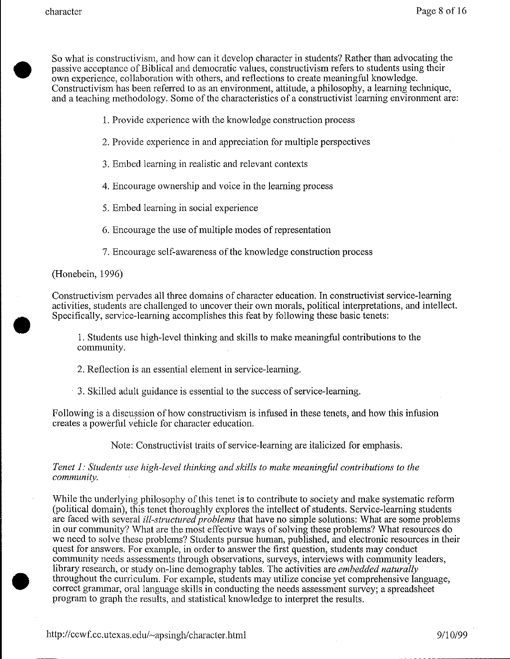• So what is constructivism, and how can it develop character in students? Rather than advocating the passive acceptance of Biblical and democratic values, constructivism refers to students using their own experience, collaboration with others, and reflections to create meaningful knowledge. Constructivism has been referred to as an environment, attitude, a philosophy, a learning technique, and a teaching methodology. Some of the characteristics of a constructivist learning environment are:

1. Provide experience with the knowledge construction process

- 2. Provide experience in and appreciation for multiple perspectives
- 3. Embed learning in realistic and relevant contexts

4. Encourage ownership and voice in the learning process

5. Embed learning in social experience

6. Encourage the use of multiple modes of representation

7. Encourage self-awareness of the knowledge construction process

(Honebein, 1996)

•

•

Constructivism pervades all three domains of character education. In constructivist service-learning activities, students are challenged to uncover their own morals, political interpretations, and intellect. Specifically, service-learning accomplishes this feat by following these basic tenets:

1. Students use high-level thinking and skills to make meaningful contributions to the community.

2. Reflection is an essential element in service-learning.

3. Skilled adult guidance is essential to the success of service-learning.

Following is a discussion of how constructivism is infused in these tenets, and how this infusion creates a powerful vehicle for character education.

Note: Constructivist traits of service-learning are italicized for emphasis.

## *Tenet 1: Students use high-level thinking and skills to make meaningful contributions to the community.*

While the underlying philosophy of this tenet is to contribute to society and make systematic reform (political domain), this tenet thoroughly explores the intellect of students. Service-learning students are faced with several *ill-structured problems* that have no simple solutions: What are some problems in our community? What are the most effective ways of solving these problems? What resources do we need to solve these problems? Students pursue human, published, and electronic resources in their quest for answers. For example, in order to answer the first question, students may conduct community needs assessments through observations, surveys, interviews with community leaders, library research, or study on-line demography tables. The activities are *embedded naturally*  throughout the curriculum. For example, students may utilize concise yet comprehensive language, correct grammar, oral language skills in conducting the needs assessment survey; a spreadsheet program to graph the results, and statistical knowledge to interpret the results.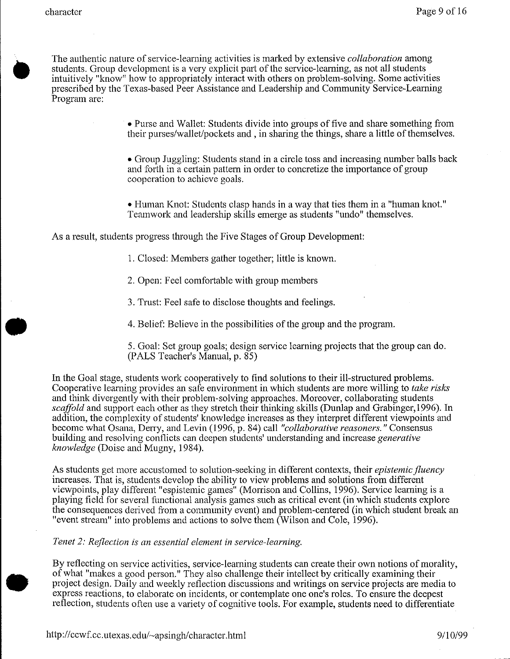•

• The authentic nature of service-learning activities is marked by extensive *collaboration* among students. Group development is a very explicit part of the service-learning, as not all students intuitively "know" how to appropriately interact with others on problem-solving. Some activities prescribed by the Texas-based Peer Assistance and Leadership and Community Service-Learning Program are:

> • Purse and Wallet: Students divide into groups of five and share something from their purses/wallet/pockets and, in sharing the things, share a little of themselves.

> • Group Juggling: Students stand in a circle toss and increasing number balls back and forth in a certain pattern in order to concretize the importance of group cooperation to achieve goals.

• Human Knot: Students clasp hands in a way that ties them in a "human knot." Teamwork and leadership skills emerge as students "undo" themselves.

As a result, students progress through the Five Stages of Group Development:

1. Closed: Members gather together; little is known.

2. Open: Feel comfortable with group members

3. Trust: Feel safe to disclose thoughts and feelings .

4. Belief: Believe in the possibilities of the group and the program.

5. Goal: Set group goals; design service learning projects that the group can do. (PALS Teacher's Manual, p. 85)

In the Goal stage, students work cooperatively to find solutions to their ill-structured problems. Cooperative learning provides an safe environment in which students are more willing to *take risks*  and think divergently with their problem-solving approaches. Moreover, collaborating students *scaffold* and support each other as they stretch their thinking skills (Dunlap and Grabinger, 1996). In addition, the complexity of students' knowledge increases as they interpret different viewpoints and become what Osana, Derry, and Levin (1996, p. 84) call *"collaborative reasoners."* Consensus building and resolving conflicts can deepen students' understanding and increase *generative knowledge* (Doise and Mugny, 1984).

As students get more accustomed to solution-seeking in different contexts, their *epistemic fluency*  increases. That is, students develop the ability to view problems and solutions from different viewpoints, play different "espistemic games" (Morrison and Collins, 1996). Service learning is a playing field for several functional analysis games such as critical event (in which students explore the consequences derived from a community event) and problem-centered (in which student break an "event stream" into problems and actions to solve them (Wilson and Cole, 1996).

*Tenet 2: Reflection is an essential element in service-learning.* 

By reflecting on service activities, service-learning students can create their own notions of morality, of what "makes a good person." They also challenge their intellect by critically examining their project design. Daily and weekly reflection discussions and writings on service projects are media to express reactions, to elaborate on incidents, or contemplate one one's roles. To ensure the deepest reflection, students often use a variety of cognitive tools. For example, students need to differentiate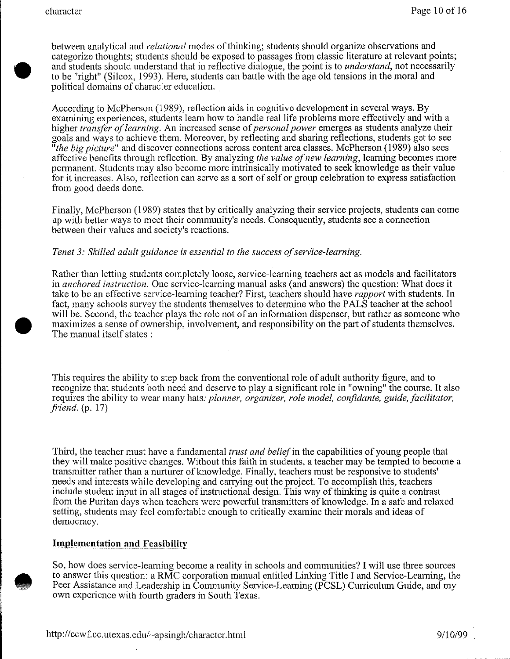**•** 

• between analytical and *relational* modes of thinking; students should organize observations and categorize thoughts; students should be exposed to passages from classic literature at relevant points; and students should understand that in reflective dialogue, the point is to *understand,* not necessarily to be "right" (Silcox, 1993). Here, students can battle with the age old tensions in the moral and political domains of character education.

According to McPherson (1989), reflection aids in cognitive development in several ways. By examining experiences, students learn how to handle real life problems more effectively and with a higher *transfer of learning.* An increased sense of *personal power* emerges as students analyze their goals and ways to achieve them. Moreover, by reflecting and sharing reflections, students get to see *"the big picture"* and discover connections across content area classes. McPherson (1989) also sees affective benefits through reflection. By analyzing *the value of new learning,* learning becomes more permanent. Students may also become more intrinsically motivated to seek knowledge as their value for it increases. Also, reflection can serve as a sort of self or group celebration to express satisfaction from good deeds done.

Finally, McPherson (1989) states that by critically analyzing their service projects, students can come up with better ways to meet their community's needs. Consequently, students see a connection between their values and society's reactions.

## *Tenet 3: Skilled adult guidance is essential to the success of service-learning.*

Rather than letting students completely loose, service-learning teachers act as models and facilitators in *anchored instruction.* One service-learning manual asks (and answers) the question: What does it take to be an effective service-learning teacher? First, teachers should have *rapport* with students. In fact, many schools survey the students themselves to determine who the PALS teacher at the school will be. Second, the teacher plays the role not of an information dispenser, but rather as someone who maximizes a sense of ownership, involvement, and responsibility on the part of students themselves. The manual itself states :

This requires the ability to step back from the conventional role of adult authority figure, and to recognize that students both need and deserve to play a significant role in "owning" the course. It also requires the ability to wear many hats: *planner, organizer, role model, confidante, guide, facilitator, friend.* (p. 17)

Third, the teacher must have a fundamental *trust and belief* in the capabilities of young people that they will make positive changes. Without this faith in students, a teacher may be tempted to become a transmitter rather than a nurturer of knowledge. Finally, teachers must be responsive to students' needs and interests while developing and carrying out the project. To accomplish this, teachers include student input in all stages of instructional design. This way of thinking is quite a contrast from the Puritan days when teachers were powerful transmitters of knowledge. In a safe and relaxed setting, students may feel comfortable enough to critically examine their morals and ideas of democracy.

#### **Implementation and Feasibility**

So, how does service-learning become a reality in schools and communities? I will use three sources to answer this question: a RMC corporation manual entitled Linking Title I and Service-Learning, the Peer Assistance and Leadership in Community Service-Learning (PCSL) Curriculum Guide, and my own experience with fourth graders in South Texas.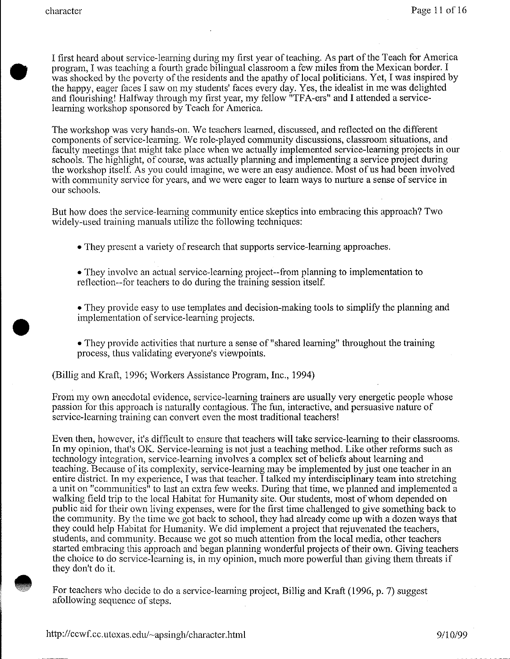•

I first heard about service-learning during my first year of teaching. As part of the Teach for America program, I was teaching a fourth grade bilingual classroom a few miles from the Mexican border. I was shocked by the poverty of the residents and the apathy of local politicians. Yet, I was inspired by the happy, eager faces I saw on my students' faces every day. Yes, the idealist in me was delighted and flourishing! Halfway through my first year, my fellow "TFA-ers" and I attended a servicelearning workshop sponsored by Teach for America.

The workshop was very hands-on. We teachers learned, discussed, and reflected on the different components of service-learning. We role-played community discussions, classroom situations, and faculty meetings that might take place when we actually implemented service-learning projects in our schools. The highlight, of course, was actually planning and implementing a service project during the workshop itself. As you could imagine, we were an easy audience. Most of us had been involved with community service for years, and we were eager to learn ways to nurture a sense of service in our schools.

But how does the service-learning community entice skeptics into embracing this approach? Two widely-used training manuals utilize the following techniques:

• They present a variety of research that supports service-learning approaches.

- They involve an actual service-learning project--from planning to implementation to reflection--for teachers to do during the training session itself.
- They provide easy to use templates and decision-making tools to simplify the planning and implementation of service-learning projects .
- They provide activities that nurture a sense of "shared learning" throughout the training process, thus validating everyone's viewpoints.

(Billig and Kraft, 1996; Workers Assistance Program, Inc., 1994)

From my own anecdotal evidence, service-learning trainers are usually very energetic people whose passion for this approach is naturally contagious. The fun, interactive, and persuasive nature of service-learning training can convert even the most traditional teachers!

Even then, however, it's difficult to ensure that teachers will take service-learning to their classrooms. In my opinion, that's OK. Service-learning is not just a teaching method. Like other reforms such as technology integration, service-learning involves a complex set of beliefs about learning and teaching. Because of its complexity, service-learning may be implemented by just one teacher in an entire district. In my experience, I was that teacher. I talked my interdisciplinary team into stretching a unit on "communities" to last an extra few weeks. During that time, we planned and implemented a walking field trip to the local Habitat for Humanity site. Our students, most of whom depended on public aid for their own living expenses, were for the first time challenged to give something back to the community. By the time we got back to school, they had already come up with a dozen ways that they could help Habitat for Humanity. We did implement a project that rejuvenated the teachers, students, and community. Because we got so much attention from the local media, other teachers started embracing this approach and began planning wonderful projects of their own. Giving teachers the choice to do service-learning is, in my opinion, much more powerful than giving them threats if they don't do it.

**•** For teachers who decide to do a service-learning project, Billig and Kraft (1996, p. 7) suggest afollowing sequence of steps.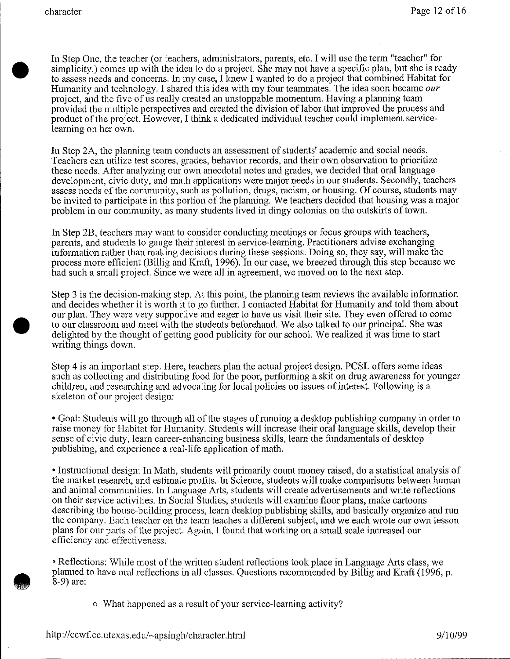•

**•** 

In Step One, the teacher (or teachers, administrators, parents, etc. I will use the term "teacher" for simplicity.) comes up with the idea to do a project. She may not have a specific plan, but she is ready to assess needs and concerns. In my case, I knew I wanted to do a project that combined Habitat for Humanity and technology. I shared this idea with my four teammates. The idea soon became *our*  project, and the five of us really created an unstoppable momentum. Having a planning team provided the multiple perspectives and created the division of labor that improved the process and product of the project. However, I think a dedicated individual teacher could implement servicelearning on her own.

In Step 2A, the planning team conducts an assessment of students' academic and social needs. Teachers can utilize test scores, grades, behavior records, and their own observation to prioritize these needs. After analyzing our own anecdotal notes and grades, we decided that oral language development, civic duty, and math applications were major needs in our students. Secondly, teachers assess needs of the community, such as pollution, drugs, racism, or housing. Of course, students may be invited to participate in this portion of the planning. We teachers decided that housing was a major problem in our community, as many students lived in dingy colonias on the outskirts of town.

In Step 2B, teachers may want to consider conducting meetings or focus groups with teachers, parents, and students to gauge their interest in service-learning. Practitioners advise exchanging information rather than making decisions during these sessions. Doing so, they say, will make the process more efficient (Billig and Kraft, 1996). In our case, we breezed through this step because we had such a small project. Since we were all in agreement, we moved on to the next step.

Step 3 is the decision-making step. At this point, the planning team reviews the available information and decides whether it is worth it to go further. I contacted Habitat for Humanity and told them about our plan. They were very supportive and eager to have us visit their site. They even offered to come to our classroom and meet with the students beforehand. We also talked to our principal. She was delighted by the thought of getting good publicity for our school. We realized it was time to start writing things down.

Step 4 is an important step. Here, teachers plan the actual project design. PCSL offers some ideas such as collecting and distributing food for the poor, performing a skit on drug awareness for younger children, and researching and advocating for local policies on issues of interest. Following is a skeleton of our project design:

• Goal: Students will go through all of the stages of running a desktop publishing company in order to raise money for Habitat for Humanity. Students will increase their oral language skills, develop their sense of civic duty, learn career-enhancing business skills, learn the fundamentals of desktop publishing, and experience a real-life application of math.

• Instructional design: In Math, students will primarily count money raised, do a statistical analysis of the market research, and estimate profits. In Science, students will make comparisons between human and animal communities. In Language Arts, students will create advertisements and write reflections on their service activities. In Social Studies, students will examine floor plans, make cartoons describing the house-building process, learn desktop publishing skills, and basically organize and run the company. Each teacher on the team teaches a different subject, and we each wrote our own lesson plans for our parts of the project. Again, I found that working on a small scale increased our efficiency and effectiveness.

• Reflections: While most of the written student reflections took place in Language Arts class, we planned to have oral reflections in all classes. Questions recommended by Billig and Kraft (1996, p. 8-9) are:

o What happened as a result of your service-learning activity?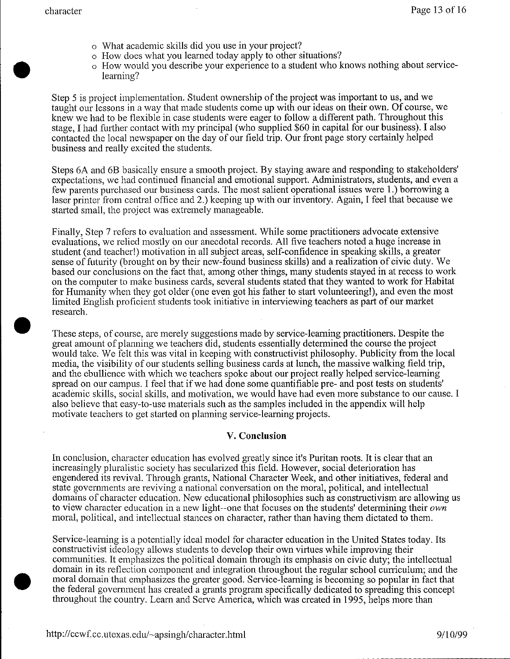•

•

- o What academic skills did you use in your project?
- o How does what you learned today apply to other situations?
- o How would you describe your experience to a student who knows nothing about servicelearning?

Step 5 is project implementation. Student ownership of the project was important to us, and we taught our lessons in a way that made students come up with our ideas on their own. Of course, we knew we had to be flexible in case students were eager to follow a different path. Throughout this stage, I had further contact with my principal (who supplied \$60 in capital for our business). I also contacted the local newspaper on the day of our field trip. Our front page story certainly helped business and really excited the students.

Steps 6A and 6B basically ensure a smooth project. By staying aware and responding to stakeholders' expectations, we had continued financial and emotional support. Administrators, students, and even a few parents purchased our business cards. The most salient operational issues were 1.) borrowing a laser printer from central office and 2.) keeping up with our inventory. Again, I feel that because we started small, the project was extremely manageable.

Finally, Step 7 refers to evaluation and assessment. While some practitioners advocate extensive evaluations, we relied mostly on our anecdotal records. All five teachers noted a huge increase in student (and teacher!) motivation in all subject areas, self-confidence in speaking skills, a greater sense of futurity (brought on by their new-found business skills) and a realization of civic duty. We based our conclusions on the fact that, among other things, many students stayed in at recess to work on the computer to make business cards, several students stated that they wanted to work for Habitat for Humanity when they got older (one even got his father to start volunteering!), and even the most limited English proficient students took initiative in interviewing teachers as part of our market research .

These steps, of course, are merely suggestions made by service-learning practitioners. Despite the great amount of planning we teachers did, students essentially determined the course the project would take. We felt this was vital in keeping with constructivist philosophy. Publicity from the local media, the visibility of our students selling business cards at lunch, the massive walking field trip, and the ebullience with which we teachers spoke about our project really helped service-learning spread on our campus. I feel that if we had done some quantifiable pre- and post tests on students' academic skills, social skills, and motivation, we would have had even more substance to our cause. I also believe that easy-to-use materials such as the samples included in the appendix will help motivate teachers to get started on planning service-learning projects.

## **V. Conclusion**

In conclusion, character education has evolved greatly since it's Puritan roots. It is clear that an increasingly pluralistic society has secularized this field. However, social deterioration has engendered its revival. Through grants, National Character Week, and other initiatives, federal and state governments are reviving a national conversation on the moral, political, and intellectual domains of character education. New educational philosophies such as constructivism are allowing us to view character education in a new light--one that focuses on the students' determining their *own*  moral, political, and intellectual stances on character, rather than having them dictated to them.

Service-learning is a potentially ideal model for character education in the United States today. Its constructivist ideology allows students to develop their own virtues while improving their communities. It emphasizes the political domain through its emphasis on civic duty; the intellectual domain in its reflection component and integration throughout the regular school curriculum; and the moral domain that emphasizes the greater good. Service-leaming is becoming so popular in fact that the federal government has created a grants program specifically dedicated to spreading this concept throughout the countty. Learn and Serve America, which was created in 1995, helps more than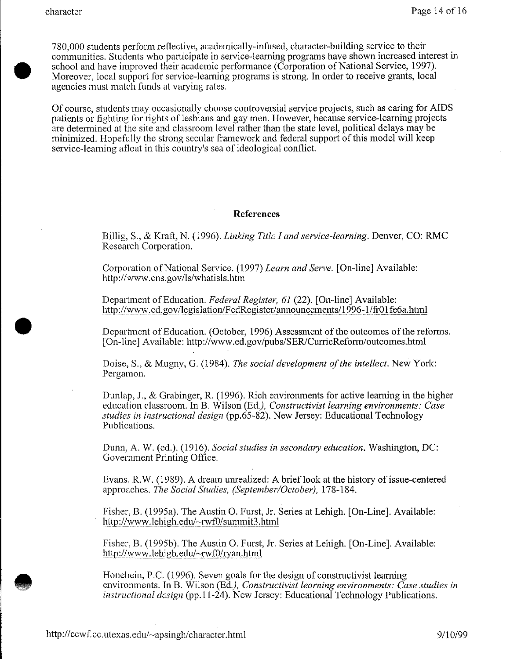**•** 

• 780,000 students perform reflective, academically-infused, character-building service to their communities. Students who participate in service-learning programs have shown increased interest in school and have improved their academic performance (Corporation of National Service, 1997). Moreover, local support for service-learning programs is strong. In order to receive grants, local agencies must match funds at varying rates.

Of course, students may occasionally choose controversial service projects, such as caring for AIDS patients or fighting for rights of lesbians and gay men. However, because service-learning projects are determined at the site and classroom level rather than the state level, political delays may be minimized. Hopefully the strong secular framework and federal support of this model will keep service-learning afloat in this country's sea of ideological conflict.

#### **References**

Billig, S., & Kraft, N. (1996). *Linking Title I and service-learning.* Denver, CO: RMC Research Corporation.

Corporation of National Service. (1997) *Learn and Serve.* [On-line] Available: http://www.cns.gov/ls/whatisls.htm

Department of Education. *Federal Register, 61* (22). [On-line] Available: http://www.ed.gov/legislation/FedRegister/announcements/1996-1/fr01fe6a.html

Department of Education. (October, 1996) Assessment of the outcomes of the reforms. [On-line] Available: http://www .ecl.gov/pubs/SER/CurricReform/outcomes.html

Doise, S., & Mugny, G. (1984). *The social development of the intellect.* New York: Pergamon.

Dunlap, J., & Grabinger, R. (1996). Rich environments for active learning in the higher education classroom. In B. Wilson (Ed.), *Constructivist learning environments: Case studies in instructional design* (pp.65-82). New Jersey: Educational Technology Publications.

Dunn, A. W. (ed.). (1916). *Social studies in secondary education*. Washington, DC: Government Printing Office.

Evans, R.W. (1989). A dream unrealized: A brieflook at the history of issue-centered approaches. *The Social Studies, (September/October),* 178-184.

Fisher, B. (1995a). The Austin 0. Furst, Jr. Series at Lehigh. [On-Line]. Available: http://www.lehigh.edu/ $\sim$ rwf $0$ /summit3.html

Fisher, B. (1995b). The Austin 0. Furst, Jr. Series at Lehigh. [On-Line]. Available: http://www.lehigh.edu/~rwf0/ryan.html

Honebein, P.C. (1996). Seven goals for the design of constructivist learning environments. In B. Wilson (Ed.), *Constructivist learning environments: Case studies in instructional design* (pp.11-24). New Jersey: Educational Technology Publications.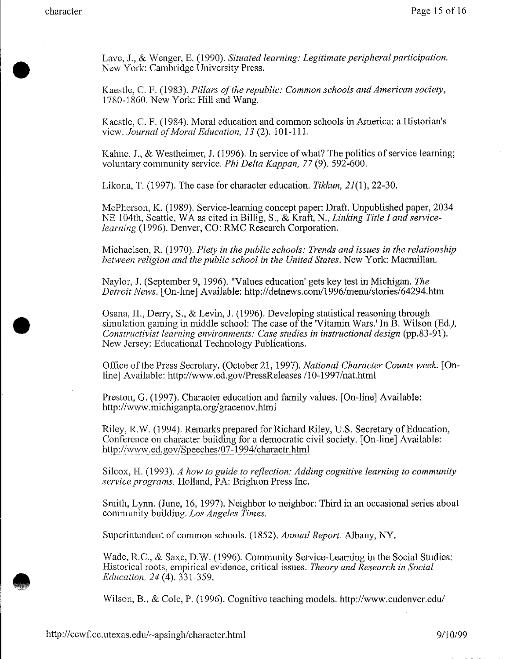•

**•** 

Lave, J., & Wenger, E. (1990). *Situated learning: Legitimate peripheral participation .*  New York: Cambridge University Press.

Kaestle, C. F. (1983). *Pillars of the republic: Common schools and American society,*  1780-1860. New York: Hill and Wang.

Kaestle, C. F. (1984). Moral education and common schools in America: a Historian's view. *Journal of Moral Education, 13* (2). 101-111.

Kahne, J., & Westheimer, J. (1996). In service of what? The politics of service learning; voluntary community service. *Phi Delta Kappan, 77* (9). 592-600.

Likona, T. (1997). The case for character education. *Tikkun,* 21(1), 22-30.

McPherson, K. (1989). Service-learning concept paper: Draft. Unpublished paper, 2034 NE 1 04th, Seattle, WA as cited in Billig, S., & Kraft, N., *Linking Title I and servicelearning* (1996). Denver, CO: RMC Research Corporation.

Michaelsen, R. (1970). *Piety in the public schools: Trends and issues in the relationship between religion and the public school in the United States.* New York: Macmillan.

Naylor, J. (September 9, 1996). "Values education' gets key test in Michigan. *The Detroit News.* [On-line] Available: http://detnews.com/1996/menu/stories/64294.htm

Osana, H., Derry, S., & Levin, J. (1996). Developing statistical reasoning through simulation gaming in middle school: The case of the 'Vitamin Wars.' In  $\tilde{B}$ . Wilson (Ed.), *Constructivist learning environments: Case studies in instructional design (pp.83-91).* New Jersey: Educational Technology Publications.

Office of the Press Secretary. (October 21, 1997). *National Character Counts week.* [Online] Available: http://www.ed.gov/PressReleases /10-1997/nat.html

Preston, G. (1997). Character education and family values. [On-line] Available: http://www.michiganpta.org/gracenov.html

Riley, R.W. (1994). Remarks prepared for Richard Riley, U.S. Secretary of Education, Conference on character building for a democratic civil society. [On-line] Available: http://www.ed.gov/Speeches/07-1994/charactr.html

Silcox, H. (1993). *A how to guide to reflection: Adding cognitive learning to community service programs.* Holland, PA: Brighton Press Inc.

Smith, Lynn. (June, 16, 1997). Neighbor to neighbor: Third in an occasional series about community building. *Los Angeles Times.* 

Superintendent of common schools. (1852). *Annual Report.* Albany, NY.

Wade, R.C., & Saxe, D.W. (1996). Community Service-Learning in the Social Studies: Historical roots, empirical evidence, critical issues. *Theory and Research in Social Education, 24* (4). 331-359 .

Wilson, B., & Cole, P. (1996). Cognitive teaching models. http://www.cudenver.edu/